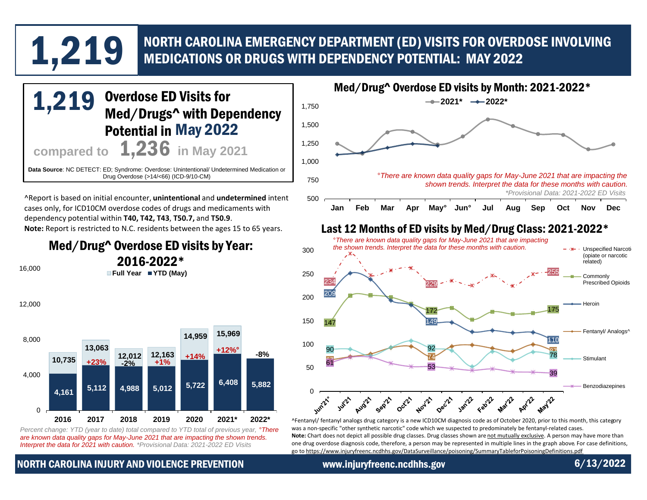# NORTH CAROLINA EMERGENCY DEPARTMENT (ED) VISITS FOR OVERDOSE INVOLVING 1,221 MEDICATIONS OR DRUGS WITH DEPENDENCY POTENTIAL: MAY 2022



*are known data quality gaps for May-June 2021 that are impacting the shown trends. Interpret the data for 2021 with caution. \*Provisional Data: 2021-2022 ED Visits*

NORTH CAROLINA INJURY AND VIOLENCE PREVENTION www.injuryfreenc.ncdhhs.gov 6/13/2022

[one drug overdose diagnosis code, therefore, a person may be represented in multiple lines in the graph above. For case definitions,](https://www.injuryfreenc.ncdhhs.gov/DataSurveillance/poisoning/SummaryTableforPoisoningDefinitions.pdf) 

go to https://www.injuryfreenc.ncdhhs.gov/DataSurveillance/poisoning/SummaryTableforPoisoningDefinitions.pdf